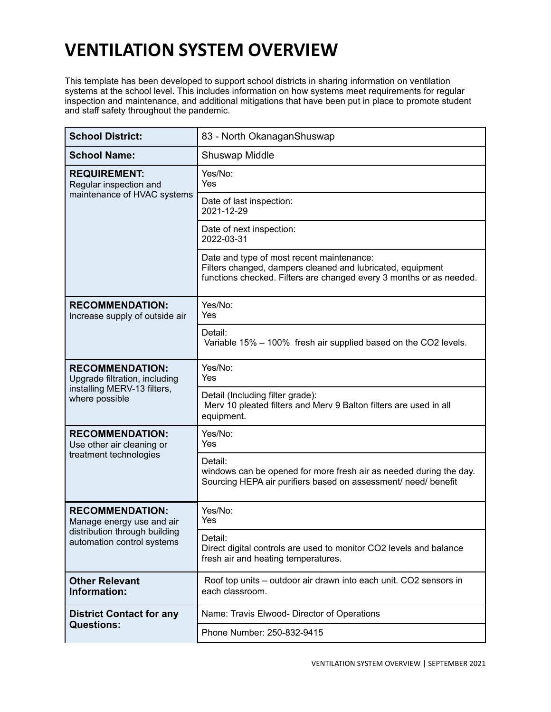## **VENTILATION SYSTEM OVERVIEW**

This template has been developed to support school districts in sharing information on ventilation systems at the school level. This includes information on how systems meet requirements for regular inspection and maintenance, and additional mitigations that have been put in place to promote student and staff safety throughout the pandemic.

| <b>School District:</b>                                                                                            | 83 - North OkanaganShuswap                                                                                                                                                     |
|--------------------------------------------------------------------------------------------------------------------|--------------------------------------------------------------------------------------------------------------------------------------------------------------------------------|
| <b>School Name:</b>                                                                                                | <b>Shuswap Middle</b>                                                                                                                                                          |
| <b>REQUIREMENT:</b><br>Regular inspection and<br>maintenance of HVAC systems                                       | Yes/No:<br>Yes                                                                                                                                                                 |
|                                                                                                                    | Date of last inspection:<br>2021-12-29                                                                                                                                         |
|                                                                                                                    | Date of next inspection:<br>2022-03-31                                                                                                                                         |
|                                                                                                                    | Date and type of most recent maintenance:<br>Filters changed, dampers cleaned and lubricated, equipment<br>functions checked. Filters are changed every 3 months or as needed. |
| <b>RECOMMENDATION:</b><br>Increase supply of outside air                                                           | Yes/No:<br>Yes                                                                                                                                                                 |
|                                                                                                                    | Detail:<br>Variable 15% – 100% fresh air supplied based on the CO2 levels.                                                                                                     |
| <b>RECOMMENDATION:</b><br>Upgrade filtration, including<br>installing MERV-13 filters,<br>where possible           | Yes/No:<br>Yes                                                                                                                                                                 |
|                                                                                                                    | Detail (Including filter grade):<br>Merv 10 pleated filters and Merv 9 Balton filters are used in all<br>equipment.                                                            |
| <b>RECOMMENDATION:</b><br>Use other air cleaning or<br>treatment technologies                                      | Yes/No:<br>Yes                                                                                                                                                                 |
|                                                                                                                    | Detail:<br>windows can be opened for more fresh air as needed during the day.<br>Sourcing HEPA air purifiers based on assessment/ need/ benefit                                |
| <b>RECOMMENDATION:</b><br>Manage energy use and air<br>distribution through building<br>automation control systems | Yes/No:<br>Yes                                                                                                                                                                 |
|                                                                                                                    | Detail:<br>Direct digital controls are used to monitor CO2 levels and balance<br>fresh air and heating temperatures.                                                           |
| <b>Other Relevant</b><br>Information:                                                                              | Roof top units – outdoor air drawn into each unit. CO2 sensors in<br>each classroom.                                                                                           |
| <b>District Contact for any</b><br><b>Questions:</b>                                                               | Name: Travis Elwood- Director of Operations                                                                                                                                    |
|                                                                                                                    | Phone Number: 250-832-9415                                                                                                                                                     |